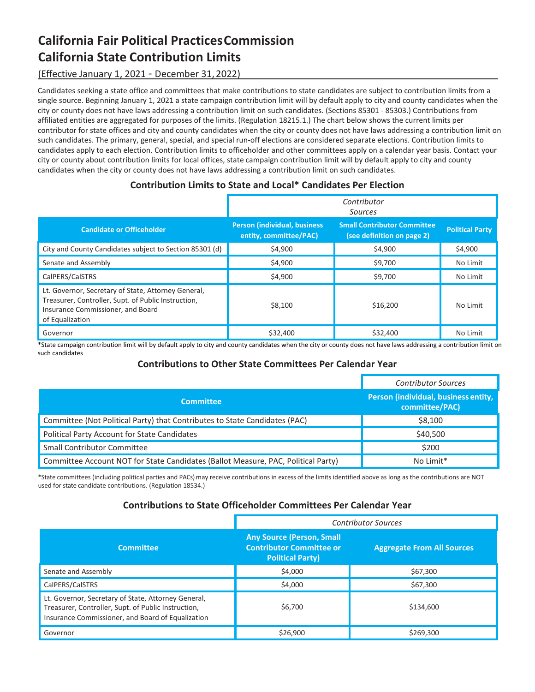# **California Fair Political PracticesCommission California State Contribution Limits**

## (Effective January 1, 2021 ‐ December 31, 2022)

Candidates seeking a state office and committees that make contributions to state candidates are subject to contribution limits from a single source. Beginning January 1, 2021 a state campaign contribution limit will by default apply to city and county candidates when the city or county does not have laws addressing a contribution limit on such candidates. (Sections 85301 ‐ 85303.) Contributions from affiliated entities are aggregated for purposes of the limits. (Regulation 18215.1.) The chart below shows the current limits per contributor for state offices and city and county candidates when the city or county does not have laws addressing a contribution limit on such candidates. The primary, general, special, and special run-off elections are considered separate elections. Contribution limits to candidates apply to each election. Contribution limits to officeholder and other committees apply on a calendar year basis. Contact your city or county about contribution limits for local offices, state campaign contribution limit will by default apply to city and county candidates when the city or county does not have laws addressing a contribution limit on such candidates.

## **Contribution Limits to State and Local\* Candidates Per Election**

|                                                                                                                                                                    | Contributor<br>Sources                                         |                                                                  |                        |
|--------------------------------------------------------------------------------------------------------------------------------------------------------------------|----------------------------------------------------------------|------------------------------------------------------------------|------------------------|
| <b>Candidate or Officeholder</b>                                                                                                                                   | <b>Person (individual, business)</b><br>entity, committee/PAC) | <b>Small Contributor Committee</b><br>(see definition on page 2) | <b>Political Party</b> |
| City and County Candidates subject to Section 85301 (d)                                                                                                            | \$4,900                                                        | \$4,900                                                          | \$4,900                |
| Senate and Assembly                                                                                                                                                | \$4,900                                                        | \$9,700                                                          | No Limit               |
| CalPERS/CalSTRS                                                                                                                                                    | \$4,900                                                        | \$9,700                                                          | No Limit               |
| Lt. Governor, Secretary of State, Attorney General,<br>Treasurer, Controller, Supt. of Public Instruction,<br>Insurance Commissioner, and Board<br>of Equalization | \$8,100                                                        | \$16,200                                                         | No Limit               |
| Governor                                                                                                                                                           | \$32,400                                                       | \$32,400                                                         | No Limit               |

\*State campaign contribution limit will by default apply to city and county candidates when the city or county does not have laws addressing a contribution limit on such candidates

### **Contributions to Other State Committees Per Calendar Year**

|                                                                                   | <b>Contributor Sources</b>                             |
|-----------------------------------------------------------------------------------|--------------------------------------------------------|
| <b>Committee</b>                                                                  | Person (individual, business entity,<br>committee/PAC) |
| Committee (Not Political Party) that Contributes to State Candidates (PAC)        | \$8,100                                                |
| Political Party Account for State Candidates                                      | \$40,500                                               |
| <b>Small Contributor Committee</b>                                                | \$200                                                  |
| Committee Account NOT for State Candidates (Ballot Measure, PAC, Political Party) | No Limit*                                              |

\*State committees (including political parties and PACs) may receive contributions in excess of the limits identified above as long as the contributions are NOT used for state candidate contributions. (Regulation 18534.)

### **Contributions to State Officeholder Committees Per Calendar Year**

|                                                                                                                                                                 | <b>Contributor Sources</b>                                                                     |                                   |  |
|-----------------------------------------------------------------------------------------------------------------------------------------------------------------|------------------------------------------------------------------------------------------------|-----------------------------------|--|
| <b>Committee</b>                                                                                                                                                | <b>Any Source (Person, Small</b><br><b>Contributor Committee or</b><br><b>Political Party)</b> | <b>Aggregate From All Sources</b> |  |
| Senate and Assembly                                                                                                                                             | \$4,000                                                                                        | \$67,300                          |  |
| CalPERS/CalSTRS                                                                                                                                                 | \$4,000                                                                                        | \$67,300                          |  |
| Lt. Governor, Secretary of State, Attorney General,<br>Treasurer, Controller, Supt. of Public Instruction,<br>Insurance Commissioner, and Board of Equalization | \$6,700                                                                                        | \$134,600                         |  |
| Governor                                                                                                                                                        | \$26,900                                                                                       | \$269,300                         |  |